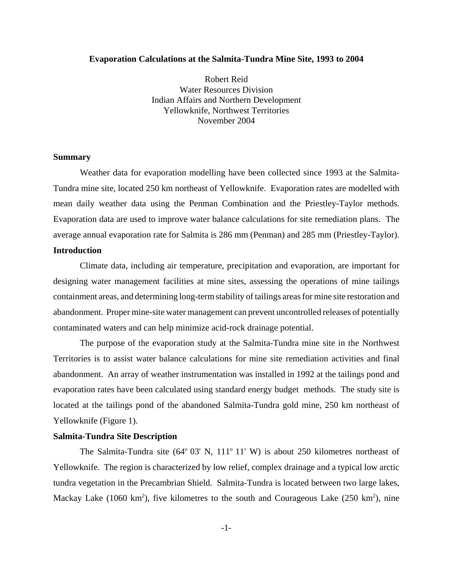## **Evaporation Calculations at the Salmita-Tundra Mine Site, 1993 to 2004**

Robert Reid Water Resources Division Indian Affairs and Northern Development Yellowknife, Northwest Territories November 2004

#### **Summary**

Weather data for evaporation modelling have been collected since 1993 at the Salmita-Tundra mine site, located 250 km northeast of Yellowknife. Evaporation rates are modelled with mean daily weather data using the Penman Combination and the Priestley-Taylor methods. Evaporation data are used to improve water balance calculations for site remediation plans. The average annual evaporation rate for Salmita is 286 mm (Penman) and 285 mm (Priestley-Taylor). **Introduction**

Climate data, including air temperature, precipitation and evaporation, are important for designing water management facilities at mine sites, assessing the operations of mine tailings containment areas, and determining long-term stability of tailings areas for mine site restoration and abandonment. Proper mine-site water management can prevent uncontrolled releases of potentially contaminated waters and can help minimize acid-rock drainage potential.

The purpose of the evaporation study at the Salmita-Tundra mine site in the Northwest Territories is to assist water balance calculations for mine site remediation activities and final abandonment. An array of weather instrumentation was installed in 1992 at the tailings pond and evaporation rates have been calculated using standard energy budget methods. The study site is located at the tailings pond of the abandoned Salmita-Tundra gold mine, 250 km northeast of Yellowknife (Figure 1).

#### **Salmita-Tundra Site Description**

The Salmita-Tundra site  $(64^{\circ} 03' N, 111^{\circ} 11' W)$  is about 250 kilometres northeast of Yellowknife. The region is characterized by low relief, complex drainage and a typical low arctic tundra vegetation in the Precambrian Shield. Salmita-Tundra is located between two large lakes, Mackay Lake (1060 km<sup>2</sup>), five kilometres to the south and Courageous Lake (250 km<sup>2</sup>), nine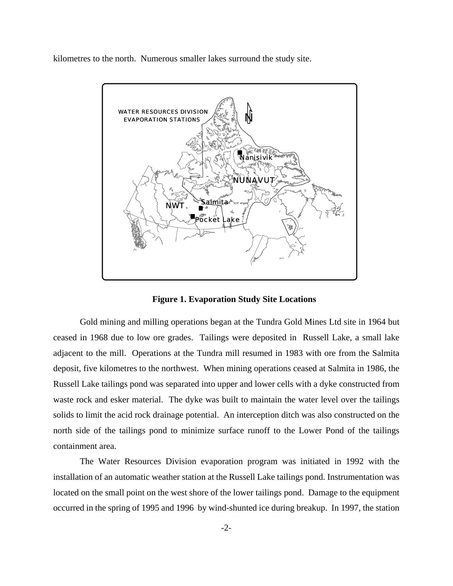kilometres to the north. Numerous smaller lakes surround the study site.



**Figure 1. Evaporation Study Site Locations**

Gold mining and milling operations began at the Tundra Gold Mines Ltd site in 1964 but ceased in 1968 due to low ore grades. Tailings were deposited in Russell Lake, a small lake adjacent to the mill. Operations at the Tundra mill resumed in 1983 with ore from the Salmita deposit, five kilometres to the northwest. When mining operations ceased at Salmita in 1986, the Russell Lake tailings pond was separated into upper and lower cells with a dyke constructed from waste rock and esker material. The dyke was built to maintain the water level over the tailings solids to limit the acid rock drainage potential. An interception ditch was also constructed on the north side of the tailings pond to minimize surface runoff to the Lower Pond of the tailings containment area.

The Water Resources Division evaporation program was initiated in 1992 with the installation of an automatic weather station at the Russell Lake tailings pond. Instrumentation was located on the small point on the west shore of the lower tailings pond. Damage to the equipment occurred in the spring of 1995 and 1996 by wind-shunted ice during breakup. In 1997, the station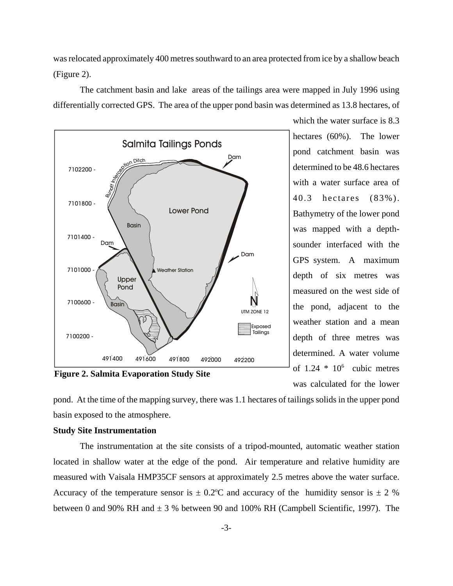was relocated approximately 400 metres southward to an area protected from ice by a shallow beach (Figure 2).

The catchment basin and lake areas of the tailings area were mapped in July 1996 using differentially corrected GPS. The area of the upper pond basin was determined as 13.8 hectares, of



**Figure 2. Salmita Evaporation Study Site**

which the water surface is 8.3 hectares (60%). The lower pond catchment basin was determined to be 48.6 hectares with a water surface area of 40.3 hectares (83%). Bathymetry of the lower pond was mapped with a depthsounder interfaced with the GPS system. A maximum depth of six metres was measured on the west side of the pond, adjacent to the weather station and a mean depth of three metres was determined. A water volume of  $1.24 * 10^6$  cubic metres was calculated for the lower

pond. At the time of the mapping survey, there was 1.1 hectares of tailings solids in the upper pond basin exposed to the atmosphere.

# **Study Site Instrumentation**

The instrumentation at the site consists of a tripod-mounted, automatic weather station located in shallow water at the edge of the pond. Air temperature and relative humidity are measured with Vaisala HMP35CF sensors at approximately 2.5 metres above the water surface. Accuracy of the temperature sensor is  $\pm 0.2$ °C and accuracy of the humidity sensor is  $\pm 2$  % between 0 and 90% RH and  $\pm$  3 % between 90 and 100% RH (Campbell Scientific, 1997). The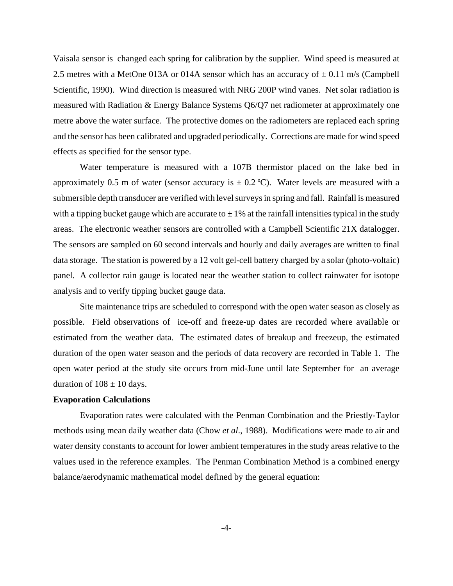Vaisala sensor is changed each spring for calibration by the supplier. Wind speed is measured at 2.5 metres with a MetOne 013A or 014A sensor which has an accuracy of  $\pm$  0.11 m/s (Campbell Scientific, 1990). Wind direction is measured with NRG 200P wind vanes. Net solar radiation is measured with Radiation & Energy Balance Systems Q6/Q7 net radiometer at approximately one metre above the water surface. The protective domes on the radiometers are replaced each spring and the sensor has been calibrated and upgraded periodically. Corrections are made for wind speed effects as specified for the sensor type.

Water temperature is measured with a 107B thermistor placed on the lake bed in approximately 0.5 m of water (sensor accuracy is  $\pm$  0.2 °C). Water levels are measured with a submersible depth transducer are verified with level surveys in spring and fall. Rainfall is measured with a tipping bucket gauge which are accurate to  $\pm$  1% at the rainfall intensities typical in the study areas. The electronic weather sensors are controlled with a Campbell Scientific 21X datalogger. The sensors are sampled on 60 second intervals and hourly and daily averages are written to final data storage. The station is powered by a 12 volt gel-cell battery charged by a solar (photo-voltaic) panel. A collector rain gauge is located near the weather station to collect rainwater for isotope analysis and to verify tipping bucket gauge data.

Site maintenance trips are scheduled to correspond with the open water season as closely as possible. Field observations of ice-off and freeze-up dates are recorded where available or estimated from the weather data. The estimated dates of breakup and freezeup, the estimated duration of the open water season and the periods of data recovery are recorded in Table 1. The open water period at the study site occurs from mid-June until late September for an average duration of  $108 \pm 10$  days.

#### **Evaporation Calculations**

Evaporation rates were calculated with the Penman Combination and the Priestly-Taylor methods using mean daily weather data (Chow *et al*., 1988). Modifications were made to air and water density constants to account for lower ambient temperatures in the study areas relative to the values used in the reference examples. The Penman Combination Method is a combined energy balance/aerodynamic mathematical model defined by the general equation: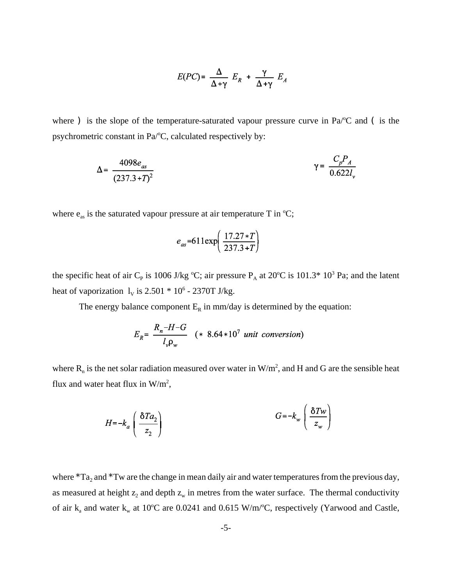$$
E(PC) = \frac{\Delta}{\Delta + \gamma} E_R + \frac{\gamma}{\Delta + \gamma} E_A
$$

where ) is the slope of the temperature-saturated vapour pressure curve in Pa/ $\rm ^oC$  and (is the psychrometric constant in Pa/°C, calculated respectively by:

$$
\Delta = \frac{4098e_{as}}{(237.3+T)^2} \qquad \gamma = \frac{C_p P_A}{0.622l_v}
$$

where  $e_{as}$  is the saturated vapour pressure at air temperature T in  $°C$ ;

$$
e_{as}
$$
=611exp $\left(\frac{17.27*T}{237.3+T}\right)$ 

the specific heat of air C<sub>P</sub> is 1006 J/kg °C; air pressure  $P_A$  at 20°C is 101.3\* 10<sup>3</sup> Pa; and the latent heat of vaporization  $l_v$  is 2.501  $*$  10<sup>6</sup> - 2370T J/kg.

The energy balance component  $E_R$  in mm/day is determined by the equation:

$$
E_R = \frac{R_n - H - G}{l_v \rho_w} \quad (* 8.64 * 10^7 \text{ unit conversion})
$$

where  $R_n$  is the net solar radiation measured over water in  $W/m^2$ , and H and G are the sensible heat flux and water heat flux in  $W/m^2$ ,

 $\overline{ }$ 

$$
H = -k_a \left( \frac{\delta T a_2}{z_2} \right)
$$
 
$$
G = -k_w \left( \frac{\delta T w}{z_w} \right)
$$

where  $*Ta_2$  and  $*Tw$  are the change in mean daily air and water temperatures from the previous day, as measured at height  $z_2$  and depth  $z_w$  in metres from the water surface. The thermal conductivity of air  $k_a$  and water  $k_w$  at 10°C are 0.0241 and 0.615 W/m/°C, respectively (Yarwood and Castle,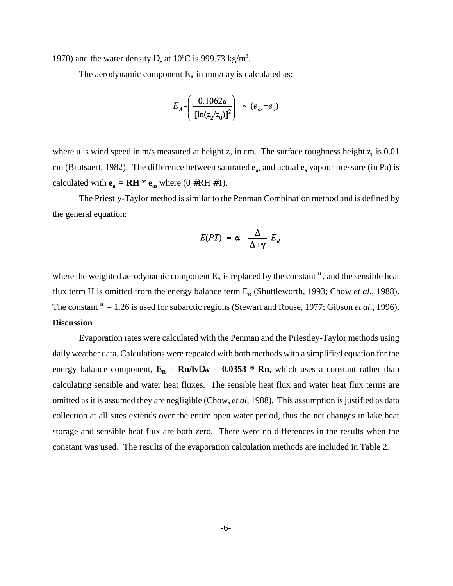1970) and the water density  $\mathbf{D}_{w}$  at 10°C is 999.73 kg/m<sup>3</sup>.

The aerodynamic component  $E_A$  in mm/day is calculated as:

$$
E_A = \left(\frac{0.1062u}{[\ln(z_2/z_0)]^2}\right) * (e_{as} - e_a)
$$

where u is wind speed in m/s measured at height  $z_2$  in cm. The surface roughness height  $z_0$  is 0.01 cm (Brutsaert, 1982). The difference between saturated  $\mathbf{e}_{\text{as}}$  and actual  $\mathbf{e}_{\text{a}}$  vapour pressure (in Pa) is calculated with  $\mathbf{e}_a = \mathbf{R} \mathbf{H}^* \mathbf{e}_{as}$  where  $(0 \# \mathbf{R} \mathbf{H} \# 1)$ .

The Priestly-Taylor method is similar to the Penman Combination method and is defined by the general equation:

$$
E(PT) = \alpha \frac{\Delta}{\Delta + \gamma} E_R
$$

where the weighted aerodynamic component  $E_A$  is replaced by the constant ", and the sensible heat flux term H is omitted from the energy balance term  $E_R$  (Shuttleworth, 1993; Chow *et al.*, 1988). The constant " = 1.26 is used for subarctic regions (Stewart and Rouse, 1977; Gibson *et al*., 1996). **Discussion**

Evaporation rates were calculated with the Penman and the Priestley-Taylor methods using daily weather data. Calculations were repeated with both methods with a simplified equation for the energy balance component,  $E_R = Rn/lvDw = 0.0353 * Rn$ , which uses a constant rather than calculating sensible and water heat fluxes. The sensible heat flux and water heat flux terms are omitted as it is assumed they are negligible (Chow, *et al*, 1988). This assumption is justified as data collection at all sites extends over the entire open water period, thus the net changes in lake heat storage and sensible heat flux are both zero. There were no differences in the results when the constant was used. The results of the evaporation calculation methods are included in Table 2.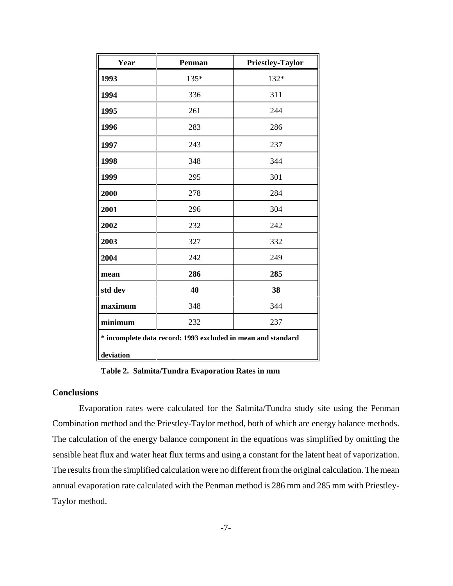| Year                                                                      | Penman | Priestley-Taylor |  |  |  |
|---------------------------------------------------------------------------|--------|------------------|--|--|--|
| 1993                                                                      | 135*   | 132*             |  |  |  |
| 1994                                                                      | 336    | 311              |  |  |  |
| 1995                                                                      | 261    | 244              |  |  |  |
| 1996                                                                      | 283    | 286              |  |  |  |
| 1997                                                                      | 243    | 237              |  |  |  |
| 1998                                                                      | 348    | 344              |  |  |  |
| 1999                                                                      | 295    | 301              |  |  |  |
| 2000                                                                      | 278    | 284              |  |  |  |
| 2001                                                                      | 296    | 304              |  |  |  |
| 2002                                                                      | 232    | 242              |  |  |  |
| 2003                                                                      | 327    | 332              |  |  |  |
| 2004                                                                      | 242    | 249              |  |  |  |
| mean                                                                      | 286    | 285              |  |  |  |
| std dev                                                                   | 40     | 38               |  |  |  |
| maximum                                                                   | 348    | 344              |  |  |  |
| minimum                                                                   | 232    | 237              |  |  |  |
| * incomplete data record: 1993 excluded in mean and standard<br>deviation |        |                  |  |  |  |

**Table 2. Salmita/Tundra Evaporation Rates in mm** 

# **Conclusions**

Evaporation rates were calculated for the Salmita/Tundra study site using the Penman Combination method and the Priestley-Taylor method, both of which are energy balance methods. The calculation of the energy balance component in the equations was simplified by omitting the sensible heat flux and water heat flux terms and using a constant for the latent heat of vaporization. The results from the simplified calculation were no different from the original calculation. The mean annual evaporation rate calculated with the Penman method is 286 mm and 285 mm with Priestley-Taylor method.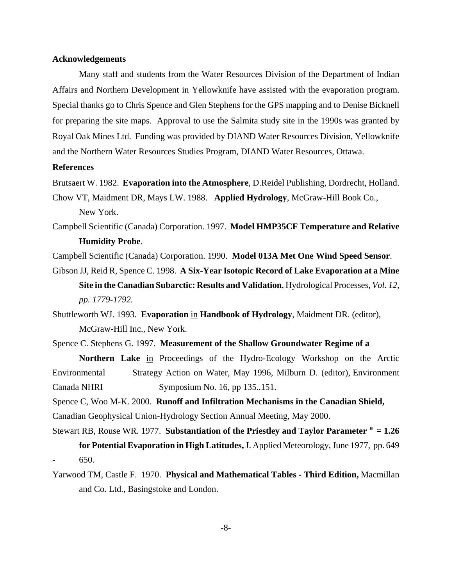#### **Acknowledgements**

Many staff and students from the Water Resources Division of the Department of Indian Affairs and Northern Development in Yellowknife have assisted with the evaporation program. Special thanks go to Chris Spence and Glen Stephens for the GPS mapping and to Denise Bicknell for preparing the site maps. Approval to use the Salmita study site in the 1990s was granted by Royal Oak Mines Ltd. Funding was provided by DIAND Water Resources Division, Yellowknife and the Northern Water Resources Studies Program, DIAND Water Resources, Ottawa.

## **References**

Brutsaert W. 1982. **Evaporation into the Atmosphere**, D.Reidel Publishing, Dordrecht, Holland.

Chow VT, Maidment DR, Mays LW. 1988. **Applied Hydrology**, McGraw-Hill Book Co.,

New York.

Campbell Scientific (Canada) Corporation. 1997. **Model HMP35CF Temperature and Relative Humidity Probe**.

Campbell Scientific (Canada) Corporation. 1990. **Model 013A Met One Wind Speed Sensor**.

- Gibson JJ, Reid R, Spence C. 1998. **A Six-Year Isotopic Record of Lake Evaporation at a Mine Site in the Canadian Subarctic: Results and Validation**, Hydrological Processes, *Vol. 12, pp. 1779-1792.*
- Shuttleworth WJ. 1993. **Evaporation** in **Handbook of Hydrology**, Maidment DR. (editor), McGraw-Hill Inc., New York.
- Spence C. Stephens G. 1997. **Measurement of the Shallow Groundwater Regime of a**

**Northern Lake** in Proceedings of the Hydro-Ecology Workshop on the Arctic Environmental Strategy Action on Water, May 1996, Milburn D. (editor), Environment Canada NHRI Symposium No. 16, pp 135..151.

Spence C, Woo M-K. 2000. **Runoff and Infiltration Mechanisms in the Canadian Shield,** Canadian Geophysical Union-Hydrology Section Annual Meeting, May 2000.

- Stewart RB, Rouse WR. 1977. **Substantiation of the Priestley and Taylor Parameter** " **= 1.26 for Potential Evaporation in High Latitudes,** J. Applied Meteorology, June 1977, pp. 649 - 650.
- Yarwood TM, Castle F. 1970. **Physical and Mathematical Tables Third Edition,** Macmillan and Co. Ltd., Basingstoke and London.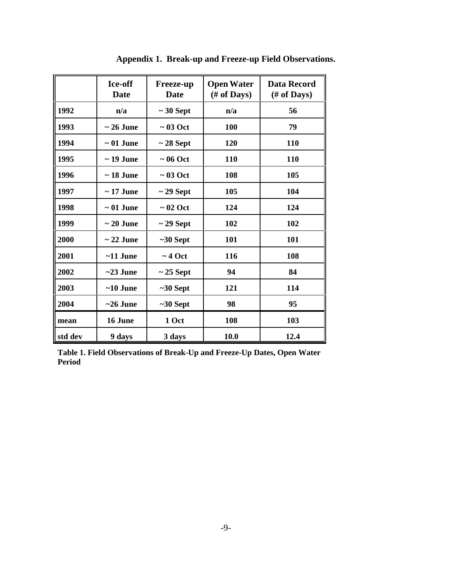|         | Ice-off<br><b>Date</b> | <b>Freeze-up</b><br><b>Date</b> | <b>Open Water</b><br>$#$ of Days) | <b>Data Record</b><br>(# of Days) |
|---------|------------------------|---------------------------------|-----------------------------------|-----------------------------------|
| 1992    | n/a                    | $\sim$ 30 Sept                  | n/a                               | 56                                |
| 1993    | $\sim 26$ June         | $\sim 03$ Oct                   | 100                               | 79                                |
| 1994    | $\sim 01$ June         | $\sim$ 28 Sept                  | 120                               | 110                               |
| 1995    | $\sim$ 19 June         | $\sim 06$ Oct                   | 110                               | 110                               |
| 1996    | $\sim$ 18 June         | $\sim 03$ Oct                   | 108                               | 105                               |
| 1997    | $\sim$ 17 June         | $\sim$ 29 Sept                  | 105                               | 104                               |
| 1998    | $\sim 01$ June         | $\sim 02$ Oct                   | 124                               | 124                               |
| 1999    | $\sim 20$ June         | $\sim$ 29 Sept                  | 102                               | 102                               |
| 2000    | $\sim$ 22 June         | $~1$ -30 Sept                   | 101                               | 101                               |
| 2001    | $~11$ June             | $\sim$ 4 Oct                    | 116                               | 108                               |
| 2002    | $\sim$ 23 June         | $\sim$ 25 Sept                  | 94                                | 84                                |
| 2003    | $~10$ June             | $~1$ -30 Sept                   | 121                               | 114                               |
| 2004    | $\sim$ 26 June         | $~50$ Sept                      | 98                                | 95                                |
| mean    | 16 June                | 1 Oct                           | 108                               | 103                               |
| std dev | 9 days                 | 3 days                          | 10.0                              | 12.4                              |

**Appendix 1. Break-up and Freeze-up Field Observations.**

**Table 1. Field Observations of Break-Up and Freeze-Up Dates, Open Water Period**